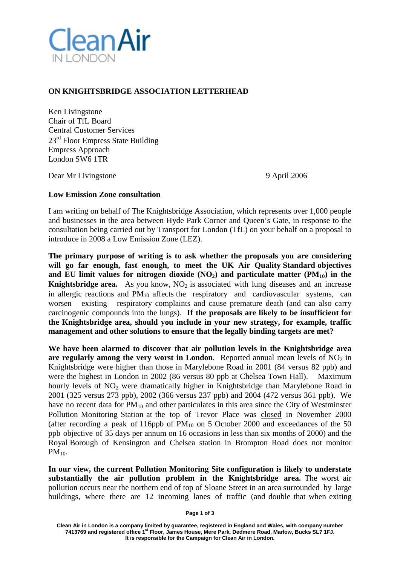

## **ON KNIGHTSBRIDGE ASSOCIATION LETTERHEAD**

Ken Livingstone Chair of TfL Board Central Customer Services 23<sup>rd</sup> Floor Empress State Building Empress Approach London SW6 1TR

Dear Mr Livingstone 9 April 2006

## **Low Emission Zone consultation**

I am writing on behalf of The Knightsbridge Association, which represents over 1,000 people and businesses in the area between Hyde Park Corner and Queen's Gate, in response to the consultation being carried out by Transport for London (TfL) on your behalf on a proposal to introduce in 2008 a Low Emission Zone (LEZ).

**The primary purpose of writing is to ask whether the proposals you are considering will go far enough, fast enough, to meet the UK Air Quality Standard objectives and EU limit values for nitrogen dioxide (NO2) and particulate matter (PM10) in the Knightsbridge area.** As you know,  $NO<sub>2</sub>$  is associated with lung diseases and an increase in allergic reactions and  $PM_{10}$  affects the respiratory and cardiovascular systems, can worsen existing respiratory complaints and cause premature death (and can also carry carcinogenic compounds into the lungs). **If the proposals are likely to be insufficient for the Knightsbridge area, should you include in your new strategy, for example, traffic management and other solutions to ensure that the legally binding targets are met?**

**We have been alarmed to discover that air pollution levels in the Knightsbridge area are regularly among the very worst in London.** Reported annual mean levels of  $NO<sub>2</sub>$  in Knightsbridge were higher than those in Marylebone Road in 2001 (84 versus 82 ppb) and were the highest in London in 2002 (86 versus 80 ppb at Chelsea Town Hall). Maximum hourly levels of  $NO<sub>2</sub>$  were dramatically higher in Knightsbridge than Marylebone Road in 2001 (325 versus 273 ppb), 2002 (366 versus 237 ppb) and 2004 (472 versus 361 ppb). We have no recent data for  $PM_{10}$  and other particulates in this area since the City of Westminster Pollution Monitoring Station at the top of Trevor Place was closed in November 2000 (after recording a peak of 116ppb of  $PM_{10}$  on 5 October 2000 and exceedances of the 50 ppb objective of 35 days per annum on 16 occasions in less than six months of 2000) and the Royal Borough of Kensington and Chelsea station in Brompton Road does not monitor  $PM_{10}$ .

**In our view, the current Pollution Monitoring Site configuration is likely to understate substantially the air pollution problem in the Knightsbridge area.** The worst air pollution occurs near the northern end of top of Sloane Street in an area surrounded by large buildings, where there are 12 incoming lanes of traffic (and double that when exiting

**Page 1 of 3**

**Clean Air in London is a company limited by guarantee, registered in England and Wales, with company number 7413769 and registered office 1st Floor, James House, Mere Park, Dedmere Road, Marlow, Bucks SL7 1FJ. It is responsible for the Campaign for Clean Air in London.**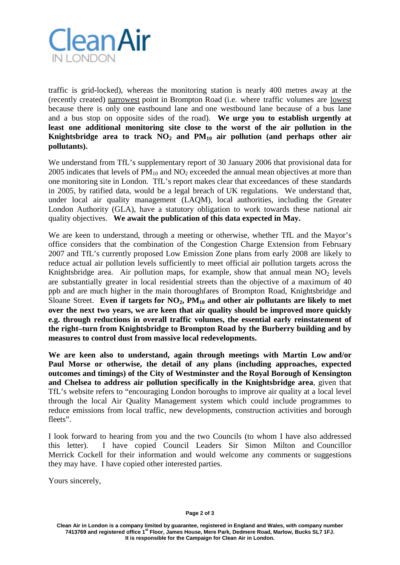

traffic is grid-locked), whereas the monitoring station is nearly 400 metres away at the (recently created) narrowest point in Brompton Road (i.e. where traffic volumes are lowest because there is only one eastbound lane and one westbound lane because of a bus lane and a bus stop on opposite sides of the road). **We urge you to establish urgently at least one additional monitoring site close to the worst of the air pollution in the** Knightsbridge area to track  $NO<sub>2</sub>$  and  $PM<sub>10</sub>$  air pollution (and perhaps other air **pollutants).**

We understand from TfL's supplementary report of 30 January 2006 that provisional data for 2005 indicates that levels of  $PM_{10}$  and  $NO_2$  exceeded the annual mean objectives at more than one monitoring site in London. TfL's report makes clear that exceedances of these standards in 2005, by ratified data, would be a legal breach of UK regulations. We understand that, under local air quality management (LAQM), local authorities, including the Greater London Authority (GLA), have a statutory obligation to work towards these national air quality objectives. **We await the publication of this data expected in May.**

We are keen to understand, through a meeting or otherwise, whether TfL and the Mayor's office considers that the combination of the Congestion Charge Extension from February 2007 and TfL's currently proposed Low Emission Zone plans from early 2008 are likely to reduce actual air pollution levels sufficiently to meet official air pollution targets across the Knightsbridge area. Air pollution maps, for example, show that annual mean  $NO<sub>2</sub>$  levels are substantially greater in local residential streets than the objective of a maximum of 40 ppb and are much higher in the main thoroughfares of Brompton Road, Knightsbridge and Sloane Street. **Even if targets for NO2, PM10 and other air pollutants are likely to met over the next two years, we are keen that air quality should be improved more quickly e.g. through reductions in overall traffic volumes, the essential early reinstatement of the right–turn from Knightsbridge to Brompton Road by the Burberry building and by measures to control dust from massive local redevelopments.**

**We are keen also to understand, again through meetings with Martin Low and/or Paul Morse or otherwise, the detail of any plans (including approaches, expected outcomes and timings) of the City of Westminster and the Royal Borough of Kensington and Chelsea to address air pollution specifically in the Knightsbridge area**, given that TfL's website refers to "encouraging London boroughs to improve air quality at a local level through the local Air Quality Management system which could include programmes to reduce emissions from local traffic, new developments, construction activities and borough fleets".

I look forward to hearing from you and the two Councils (to whom I have also addressed this letter). I have copied Council Leaders Sir Simon Milton and Councillor Merrick Cockell for their information and would welcome any comments or suggestions they may have. I have copied other interested parties.

Yours sincerely,